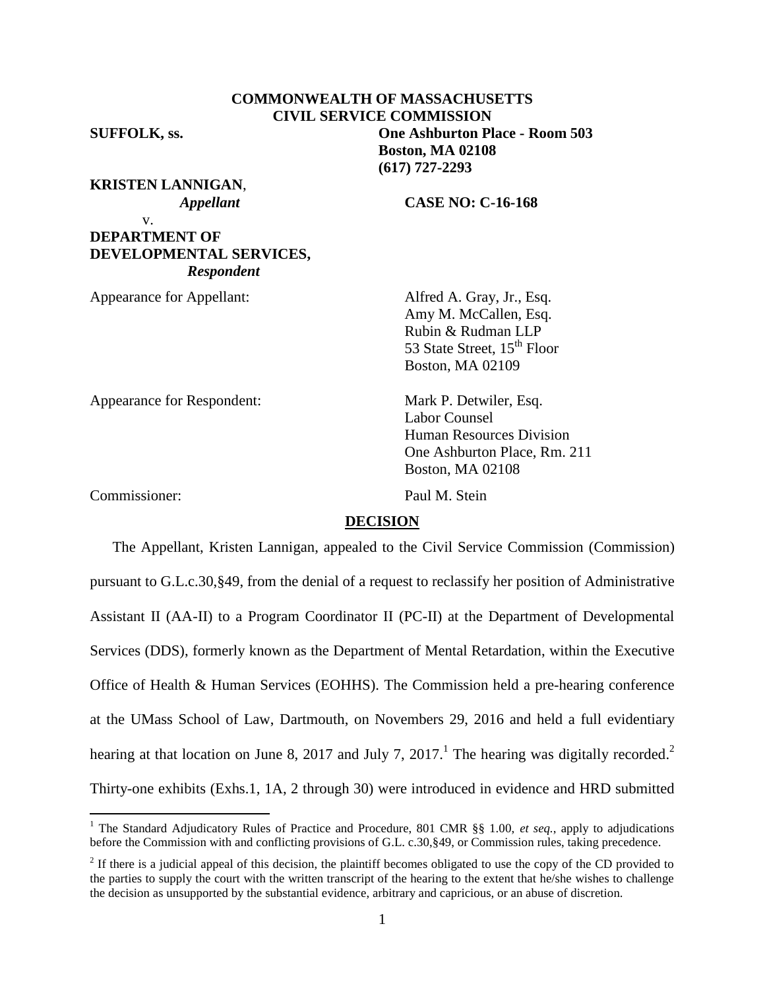|                     | <b>COMMONWEALTH OF MASSACHUSETTS</b>  |  |  |
|---------------------|---------------------------------------|--|--|
|                     | <b>CIVIL SERVICE COMMISSION</b>       |  |  |
| <b>SUFFOLK, ss.</b> | <b>One Ashburton Place - Room 503</b> |  |  |
|                     | <b>Boston, MA 02108</b>               |  |  |

**(617) 727-2293**

**KRISTEN LANNIGAN**,

v.

 *Appellant* **CASE NO: C-16-168**

# **DEPARTMENT OF DEVELOPMENTAL SERVICES,**  *Respondent*

Appearance for Appellant: Alfred A. Gray, Jr., Esq.

Amy M. McCallen, Esq. Rubin & Rudman LLP 53 State Street, 15<sup>th</sup> Floor Boston, MA 02109

Human Resources Division One Ashburton Place, Rm. 211

Appearance for Respondent: Mark P. Detwiler, Esq.

Commissioner: Paul M. Stein

 $\overline{a}$ 

Boston, MA 02108

Labor Counsel

#### **DECISION**

The Appellant, Kristen Lannigan, appealed to the Civil Service Commission (Commission) pursuant to G.L.c.30,§49, from the denial of a request to reclassify her position of Administrative Assistant II (AA-II) to a Program Coordinator II (PC-II) at the Department of Developmental Services (DDS), formerly known as the Department of Mental Retardation, within the Executive Office of Health & Human Services (EOHHS). The Commission held a pre-hearing conference at the UMass School of Law, Dartmouth, on Novembers 29, 2016 and held a full evidentiary hearing at that location on June 8, 2017 and July 7, 2017.<sup>1</sup> The hearing was digitally recorded.<sup>2</sup> Thirty-one exhibits (Exhs.1, 1A, 2 through 30) were introduced in evidence and HRD submitted

<sup>&</sup>lt;sup>1</sup> The Standard Adjudicatory Rules of Practice and Procedure, 801 CMR §§ 1.00, *et seq.*, apply to adjudications before the Commission with and conflicting provisions of G.L. c.30,§49, or Commission rules, taking precedence.

 $2<sup>2</sup>$  If there is a judicial appeal of this decision, the plaintiff becomes obligated to use the copy of the CD provided to the parties to supply the court with the written transcript of the hearing to the extent that he/she wishes to challenge the decision as unsupported by the substantial evidence, arbitrary and capricious, or an abuse of discretion.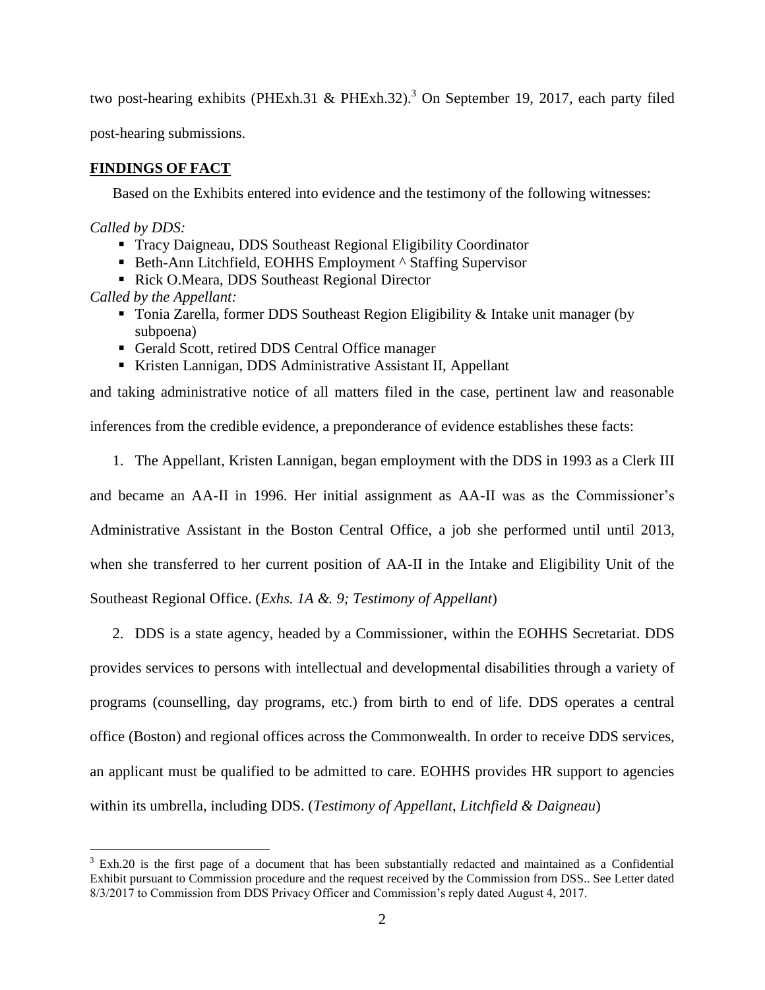two post-hearing exhibits (PHExh.31 & PHExh.32). <sup>3</sup> On September 19, 2017, each party filed

post-hearing submissions.

## **FINDINGS OF FACT**

Based on the Exhibits entered into evidence and the testimony of the following witnesses:

*Called by DDS:*

 $\overline{a}$ 

- Tracy Daigneau, DDS Southeast Regional Eligibility Coordinator
- Beth-Ann Litchfield, EOHHS Employment ^ Staffing Supervisor
- Rick O.Meara, DDS Southeast Regional Director

*Called by the Appellant:*

- Tonia Zarella, former DDS Southeast Region Eligibility  $\&$  Intake unit manager (by subpoena)
- Gerald Scott, retired DDS Central Office manager
- Kristen Lannigan, DDS Administrative Assistant II, Appellant

and taking administrative notice of all matters filed in the case, pertinent law and reasonable inferences from the credible evidence, a preponderance of evidence establishes these facts:

1. The Appellant, Kristen Lannigan, began employment with the DDS in 1993 as a Clerk III

and became an AA-II in 1996. Her initial assignment as AA-II was as the Commissioner's Administrative Assistant in the Boston Central Office, a job she performed until until 2013, when she transferred to her current position of AA-II in the Intake and Eligibility Unit of the Southeast Regional Office. (*Exhs. 1A &. 9; Testimony of Appellant*)

2. DDS is a state agency, headed by a Commissioner, within the EOHHS Secretariat. DDS provides services to persons with intellectual and developmental disabilities through a variety of programs (counselling, day programs, etc.) from birth to end of life. DDS operates a central office (Boston) and regional offices across the Commonwealth. In order to receive DDS services, an applicant must be qualified to be admitted to care. EOHHS provides HR support to agencies within its umbrella, including DDS. (*Testimony of Appellant, Litchfield & Daigneau*)

<sup>&</sup>lt;sup>3</sup> Exh.20 is the first page of a document that has been substantially redacted and maintained as a Confidential Exhibit pursuant to Commission procedure and the request received by the Commission from DSS.. See Letter dated 8/3/2017 to Commission from DDS Privacy Officer and Commission's reply dated August 4, 2017.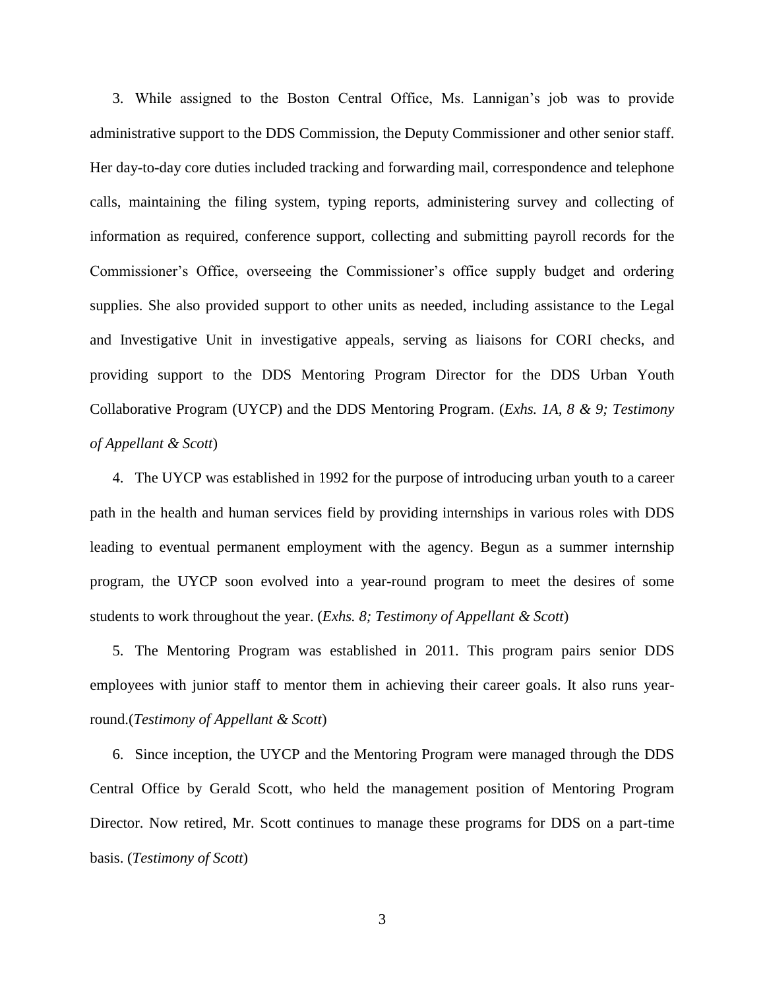3. While assigned to the Boston Central Office, Ms. Lannigan's job was to provide administrative support to the DDS Commission, the Deputy Commissioner and other senior staff. Her day-to-day core duties included tracking and forwarding mail, correspondence and telephone calls, maintaining the filing system, typing reports, administering survey and collecting of information as required, conference support, collecting and submitting payroll records for the Commissioner's Office, overseeing the Commissioner's office supply budget and ordering supplies. She also provided support to other units as needed, including assistance to the Legal and Investigative Unit in investigative appeals, serving as liaisons for CORI checks, and providing support to the DDS Mentoring Program Director for the DDS Urban Youth Collaborative Program (UYCP) and the DDS Mentoring Program. (*Exhs. 1A, 8 & 9; Testimony of Appellant & Scott*)

4. The UYCP was established in 1992 for the purpose of introducing urban youth to a career path in the health and human services field by providing internships in various roles with DDS leading to eventual permanent employment with the agency. Begun as a summer internship program, the UYCP soon evolved into a year-round program to meet the desires of some students to work throughout the year. (*Exhs. 8; Testimony of Appellant & Scott*)

5. The Mentoring Program was established in 2011. This program pairs senior DDS employees with junior staff to mentor them in achieving their career goals. It also runs yearround.(*Testimony of Appellant & Scott*)

6. Since inception, the UYCP and the Mentoring Program were managed through the DDS Central Office by Gerald Scott, who held the management position of Mentoring Program Director. Now retired, Mr. Scott continues to manage these programs for DDS on a part-time basis. (*Testimony of Scott*)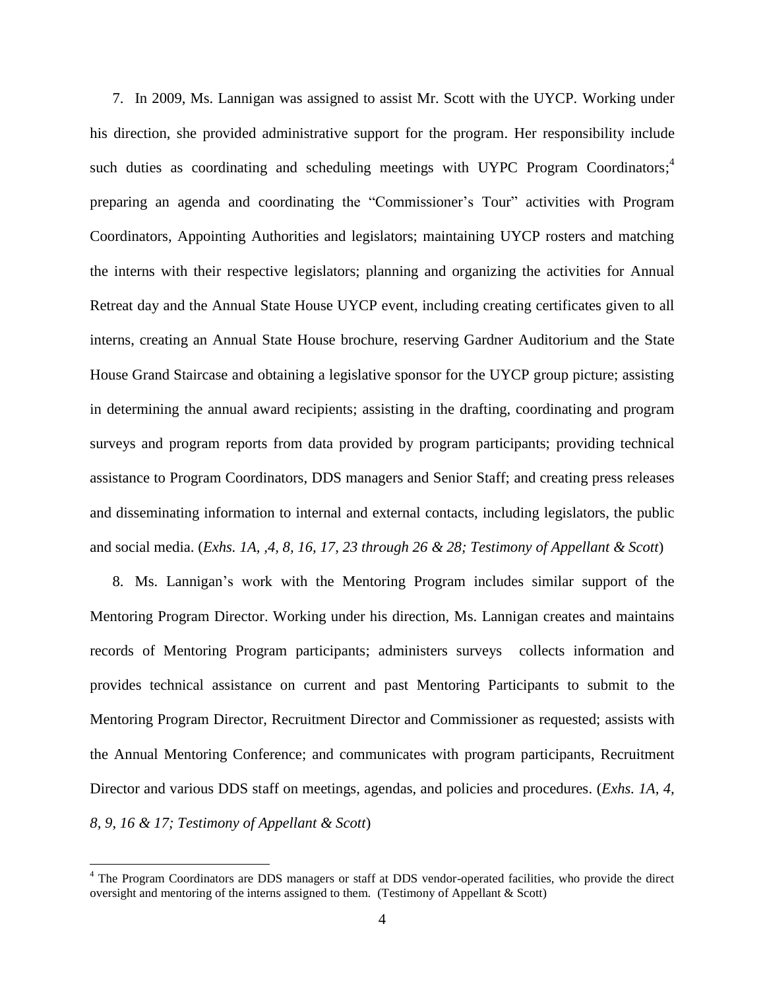7. In 2009, Ms. Lannigan was assigned to assist Mr. Scott with the UYCP. Working under his direction, she provided administrative support for the program. Her responsibility include such duties as coordinating and scheduling meetings with UYPC Program Coordinators;<sup>4</sup> preparing an agenda and coordinating the "Commissioner's Tour" activities with Program Coordinators, Appointing Authorities and legislators; maintaining UYCP rosters and matching the interns with their respective legislators; planning and organizing the activities for Annual Retreat day and the Annual State House UYCP event, including creating certificates given to all interns, creating an Annual State House brochure, reserving Gardner Auditorium and the State House Grand Staircase and obtaining a legislative sponsor for the UYCP group picture; assisting in determining the annual award recipients; assisting in the drafting, coordinating and program surveys and program reports from data provided by program participants; providing technical assistance to Program Coordinators, DDS managers and Senior Staff; and creating press releases and disseminating information to internal and external contacts, including legislators, the public and social media. (*Exhs. 1A, ,4, 8, 16, 17, 23 through 26 & 28; Testimony of Appellant & Scott*)

8. Ms. Lannigan's work with the Mentoring Program includes similar support of the Mentoring Program Director. Working under his direction, Ms. Lannigan creates and maintains records of Mentoring Program participants; administers surveys collects information and provides technical assistance on current and past Mentoring Participants to submit to the Mentoring Program Director, Recruitment Director and Commissioner as requested; assists with the Annual Mentoring Conference; and communicates with program participants, Recruitment Director and various DDS staff on meetings, agendas, and policies and procedures. (*Exhs. 1A, 4, 8, 9, 16 & 17; Testimony of Appellant & Scott*)

<sup>&</sup>lt;sup>4</sup> The Program Coordinators are DDS managers or staff at DDS vendor-operated facilities, who provide the direct oversight and mentoring of the interns assigned to them. (Testimony of Appellant & Scott)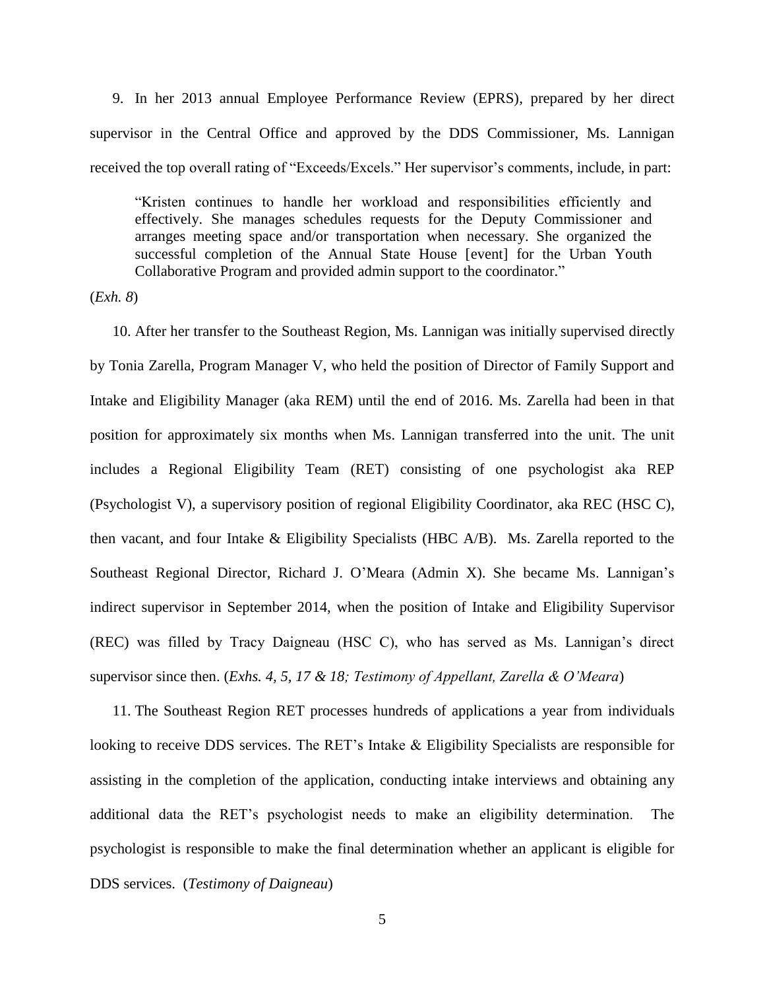9. In her 2013 annual Employee Performance Review (EPRS), prepared by her direct supervisor in the Central Office and approved by the DDS Commissioner, Ms. Lannigan received the top overall rating of "Exceeds/Excels." Her supervisor's comments, include, in part:

"Kristen continues to handle her workload and responsibilities efficiently and effectively. She manages schedules requests for the Deputy Commissioner and arranges meeting space and/or transportation when necessary. She organized the successful completion of the Annual State House [event] for the Urban Youth Collaborative Program and provided admin support to the coordinator."

(*Exh. 8*)

10. After her transfer to the Southeast Region, Ms. Lannigan was initially supervised directly by Tonia Zarella, Program Manager V, who held the position of Director of Family Support and Intake and Eligibility Manager (aka REM) until the end of 2016. Ms. Zarella had been in that position for approximately six months when Ms. Lannigan transferred into the unit. The unit includes a Regional Eligibility Team (RET) consisting of one psychologist aka REP (Psychologist V), a supervisory position of regional Eligibility Coordinator, aka REC (HSC C), then vacant, and four Intake & Eligibility Specialists (HBC A/B). Ms. Zarella reported to the Southeast Regional Director, Richard J. O'Meara (Admin X). She became Ms. Lannigan's indirect supervisor in September 2014, when the position of Intake and Eligibility Supervisor (REC) was filled by Tracy Daigneau (HSC C), who has served as Ms. Lannigan's direct supervisor since then. (*Exhs. 4, 5, 17 & 18; Testimony of Appellant, Zarella & O'Meara*)

11. The Southeast Region RET processes hundreds of applications a year from individuals looking to receive DDS services. The RET's Intake & Eligibility Specialists are responsible for assisting in the completion of the application, conducting intake interviews and obtaining any additional data the RET's psychologist needs to make an eligibility determination. The psychologist is responsible to make the final determination whether an applicant is eligible for DDS services. (*Testimony of Daigneau*)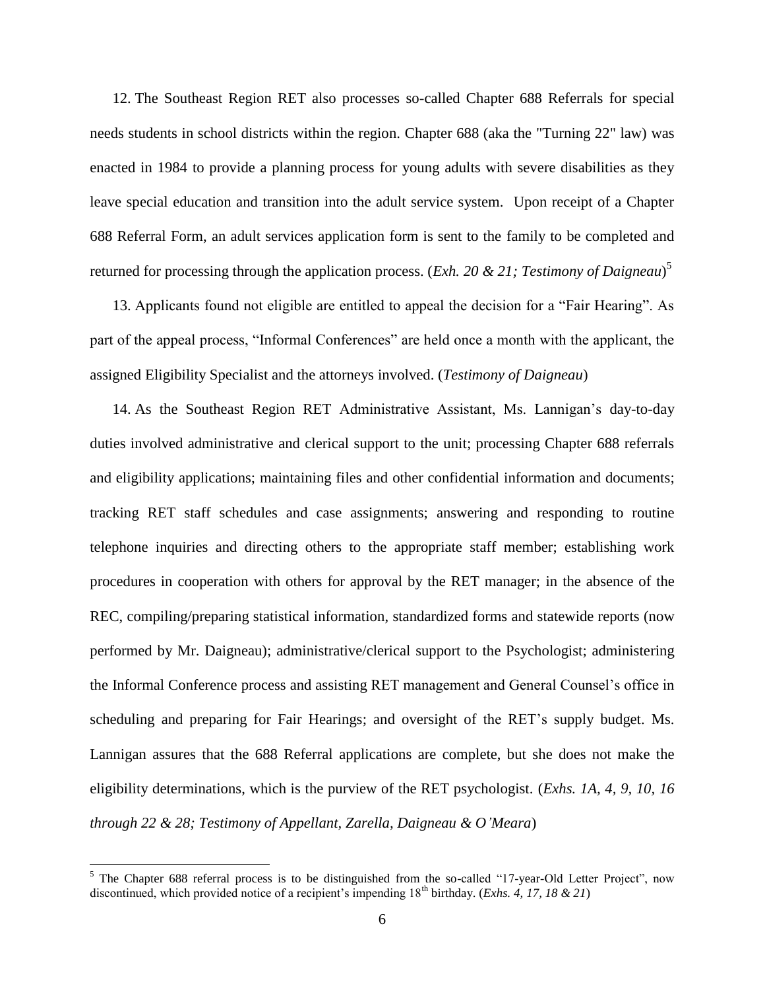12. The Southeast Region RET also processes so-called Chapter 688 Referrals for special needs students in school districts within the region. Chapter 688 (aka the "Turning 22" law) was enacted in 1984 to provide a planning process for young adults with severe disabilities as they leave special education and transition into the adult service system. Upon receipt of a Chapter 688 Referral Form, an adult services application form is sent to the family to be completed and returned for processing through the application process. (*Exh. 20 & 21; Testimony of Daigneau*) 5

13. Applicants found not eligible are entitled to appeal the decision for a "Fair Hearing". As part of the appeal process, "Informal Conferences" are held once a month with the applicant, the assigned Eligibility Specialist and the attorneys involved. (*Testimony of Daigneau*)

14. As the Southeast Region RET Administrative Assistant, Ms. Lannigan's day-to-day duties involved administrative and clerical support to the unit; processing Chapter 688 referrals and eligibility applications; maintaining files and other confidential information and documents; tracking RET staff schedules and case assignments; answering and responding to routine telephone inquiries and directing others to the appropriate staff member; establishing work procedures in cooperation with others for approval by the RET manager; in the absence of the REC, compiling/preparing statistical information, standardized forms and statewide reports (now performed by Mr. Daigneau); administrative/clerical support to the Psychologist; administering the Informal Conference process and assisting RET management and General Counsel's office in scheduling and preparing for Fair Hearings; and oversight of the RET's supply budget. Ms. Lannigan assures that the 688 Referral applications are complete, but she does not make the eligibility determinations, which is the purview of the RET psychologist. (*Exhs. 1A, 4, 9, 10, 16 through 22 & 28; Testimony of Appellant, Zarella, Daigneau & O'Meara*)

 $5$  The Chapter 688 referral process is to be distinguished from the so-called "17-year-Old Letter Project", now discontinued, which provided notice of a recipient's impending  $18<sup>th</sup>$  birthday. (*Exhs. 4, 17, 18 & 21*)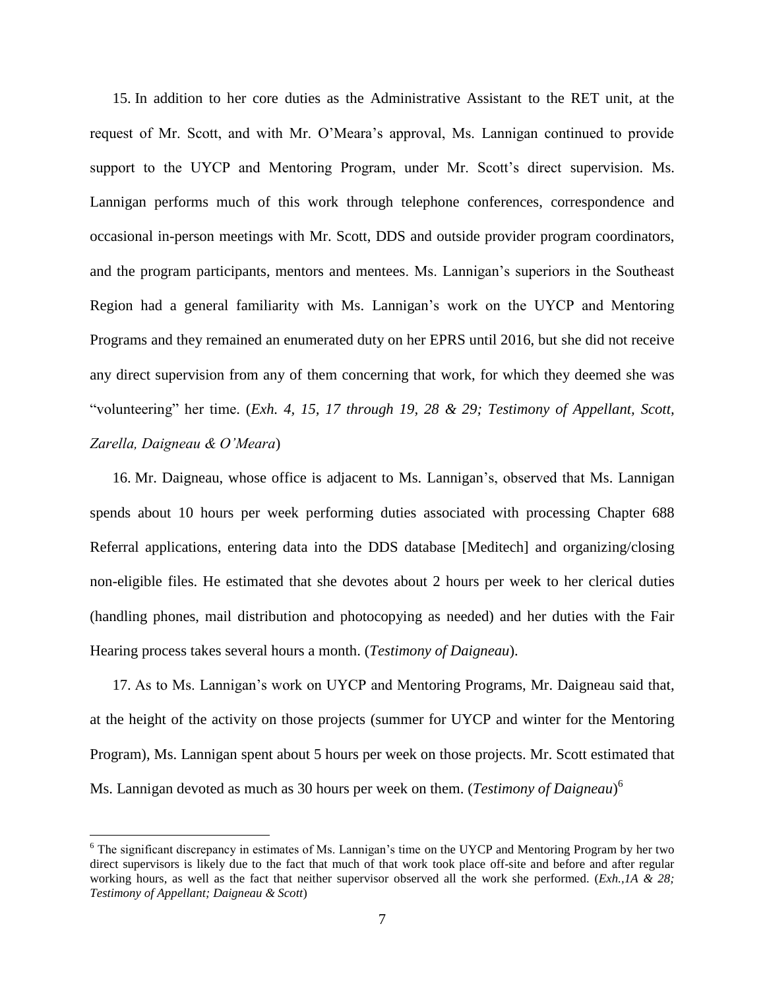15. In addition to her core duties as the Administrative Assistant to the RET unit, at the request of Mr. Scott, and with Mr. O'Meara's approval, Ms. Lannigan continued to provide support to the UYCP and Mentoring Program, under Mr. Scott's direct supervision. Ms. Lannigan performs much of this work through telephone conferences, correspondence and occasional in-person meetings with Mr. Scott, DDS and outside provider program coordinators, and the program participants, mentors and mentees. Ms. Lannigan's superiors in the Southeast Region had a general familiarity with Ms. Lannigan's work on the UYCP and Mentoring Programs and they remained an enumerated duty on her EPRS until 2016, but she did not receive any direct supervision from any of them concerning that work, for which they deemed she was "volunteering" her time. (*Exh. 4, 15, 17 through 19, 28 & 29; Testimony of Appellant, Scott, Zarella, Daigneau & O'Meara*)

16. Mr. Daigneau, whose office is adjacent to Ms. Lannigan's, observed that Ms. Lannigan spends about 10 hours per week performing duties associated with processing Chapter 688 Referral applications, entering data into the DDS database [Meditech] and organizing/closing non-eligible files. He estimated that she devotes about 2 hours per week to her clerical duties (handling phones, mail distribution and photocopying as needed) and her duties with the Fair Hearing process takes several hours a month. (*Testimony of Daigneau*).

17. As to Ms. Lannigan's work on UYCP and Mentoring Programs, Mr. Daigneau said that, at the height of the activity on those projects (summer for UYCP and winter for the Mentoring Program), Ms. Lannigan spent about 5 hours per week on those projects. Mr. Scott estimated that Ms. Lannigan devoted as much as 30 hours per week on them. (*Testimony of Daigneau*) 6

<sup>&</sup>lt;sup>6</sup> The significant discrepancy in estimates of Ms. Lannigan's time on the UYCP and Mentoring Program by her two direct supervisors is likely due to the fact that much of that work took place off-site and before and after regular working hours, as well as the fact that neither supervisor observed all the work she performed. (*Exh.,1A & 28; Testimony of Appellant; Daigneau & Scott*)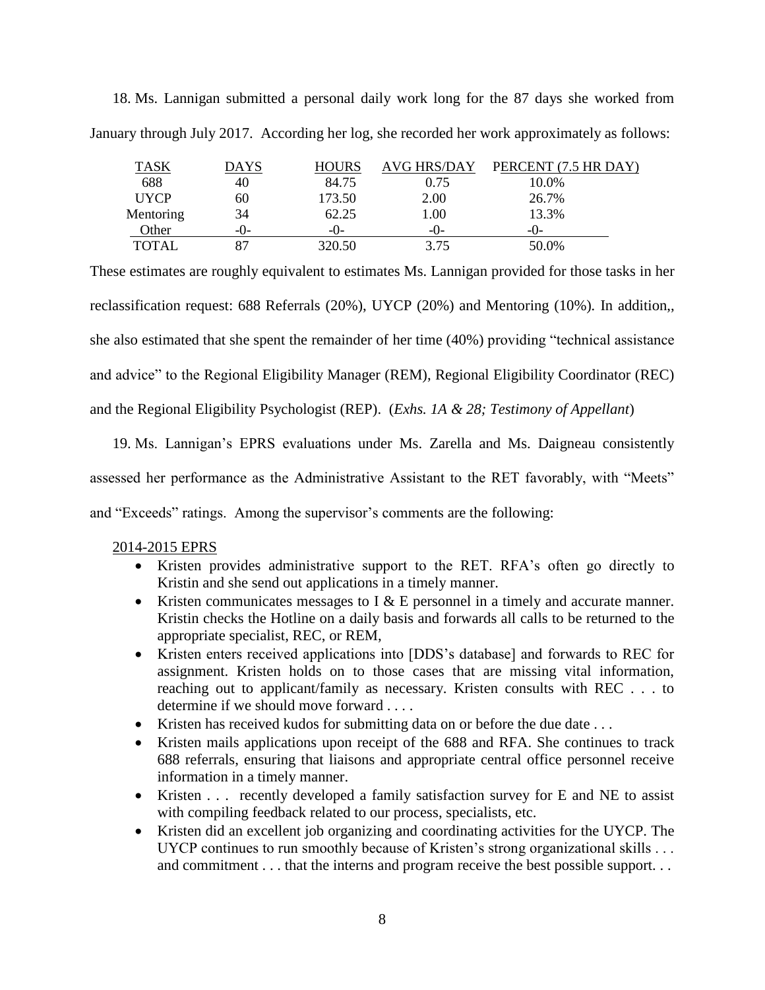| <b>TASK</b> | <b>DAYS</b> | <b>HOURS</b> | <b>AVG HRS/DAY</b> | PERCENT (7.5 HR DAY) |
|-------------|-------------|--------------|--------------------|----------------------|
| 688         | 40          | 84.75        | 0.75               | 10.0%                |
| <b>UYCP</b> | 60          | 173.50       | 2.00               | 26.7%                |
| Mentoring   | 34          | 62.25        | 1.00               | 13.3%                |
| Other       | $-()$       | -( )-        | -0-                | -0-                  |
| TOTAL       |             | 320.50       | 3.75               | 50.0%                |

18. Ms. Lannigan submitted a personal daily work long for the 87 days she worked from January through July 2017. According her log, she recorded her work approximately as follows:

These estimates are roughly equivalent to estimates Ms. Lannigan provided for those tasks in her reclassification request: 688 Referrals (20%), UYCP (20%) and Mentoring (10%)*.* In addition,, she also estimated that she spent the remainder of her time (40%) providing "technical assistance and advice" to the Regional Eligibility Manager (REM), Regional Eligibility Coordinator (REC) and the Regional Eligibility Psychologist (REP). (*Exhs. 1A & 28; Testimony of Appellant*)

19. Ms. Lannigan's EPRS evaluations under Ms. Zarella and Ms. Daigneau consistently assessed her performance as the Administrative Assistant to the RET favorably, with "Meets" and "Exceeds" ratings. Among the supervisor's comments are the following:

## 2014-2015 EPRS

- Kristen provides administrative support to the RET. RFA's often go directly to Kristin and she send out applications in a timely manner.
- Kristen communicates messages to I  $\&$  E personnel in a timely and accurate manner. Kristin checks the Hotline on a daily basis and forwards all calls to be returned to the appropriate specialist, REC, or REM,
- Kristen enters received applications into [DDS's database] and forwards to REC for assignment. Kristen holds on to those cases that are missing vital information, reaching out to applicant/family as necessary. Kristen consults with REC . . . to determine if we should move forward . . . .
- Kristen has received kudos for submitting data on or before the due date ...
- Kristen mails applications upon receipt of the 688 and RFA. She continues to track 688 referrals, ensuring that liaisons and appropriate central office personnel receive information in a timely manner.
- Kristen . . . recently developed a family satisfaction survey for E and NE to assist with compiling feedback related to our process, specialists, etc.
- Kristen did an excellent job organizing and coordinating activities for the UYCP. The UYCP continues to run smoothly because of Kristen's strong organizational skills . . . and commitment . . . that the interns and program receive the best possible support. . .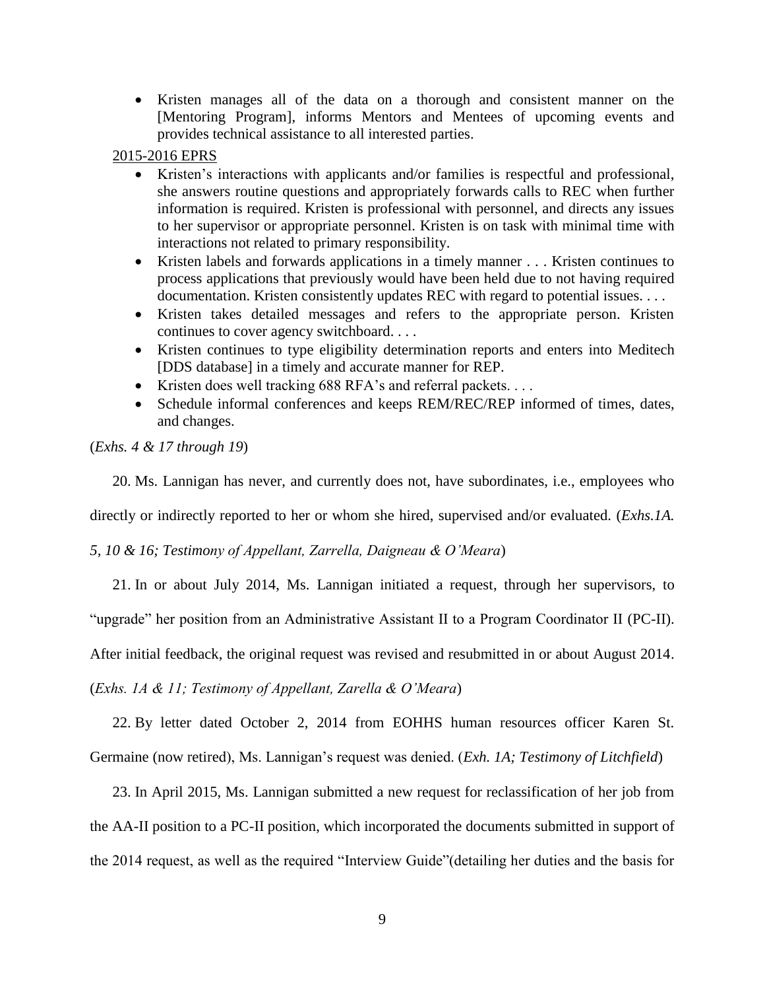Kristen manages all of the data on a thorough and consistent manner on the [Mentoring Program], informs Mentors and Mentees of upcoming events and provides technical assistance to all interested parties.

#### 2015-2016 EPRS

- Kristen's interactions with applicants and/or families is respectful and professional, she answers routine questions and appropriately forwards calls to REC when further information is required. Kristen is professional with personnel, and directs any issues to her supervisor or appropriate personnel. Kristen is on task with minimal time with interactions not related to primary responsibility.
- Kristen labels and forwards applications in a timely manner . . . Kristen continues to process applications that previously would have been held due to not having required documentation. Kristen consistently updates REC with regard to potential issues. . . .
- Kristen takes detailed messages and refers to the appropriate person. Kristen continues to cover agency switchboard. . . .
- Kristen continues to type eligibility determination reports and enters into Meditech [DDS database] in a timely and accurate manner for REP.
- Kristen does well tracking 688 RFA's and referral packets....
- Schedule informal conferences and keeps REM/REC/REP informed of times, dates, and changes.

(*Exhs. 4 & 17 through 19*)

20. Ms. Lannigan has never, and currently does not, have subordinates, i.e., employees who

directly or indirectly reported to her or whom she hired, supervised and/or evaluated. (*Exhs.1A.* 

*5, 10 & 16; Testimony of Appellant, Zarrella, Daigneau & O'Meara*)

21. In or about July 2014, Ms. Lannigan initiated a request, through her supervisors, to

"upgrade" her position from an Administrative Assistant II to a Program Coordinator II (PC-II).

After initial feedback, the original request was revised and resubmitted in or about August 2014.

(*Exhs. 1A & 11; Testimony of Appellant, Zarella & O'Meara*)

22. By letter dated October 2, 2014 from EOHHS human resources officer Karen St.

Germaine (now retired), Ms. Lannigan's request was denied. (*Exh. 1A; Testimony of Litchfield*)

23. In April 2015, Ms. Lannigan submitted a new request for reclassification of her job from the AA-II position to a PC-II position, which incorporated the documents submitted in support of the 2014 request, as well as the required "Interview Guide"(detailing her duties and the basis for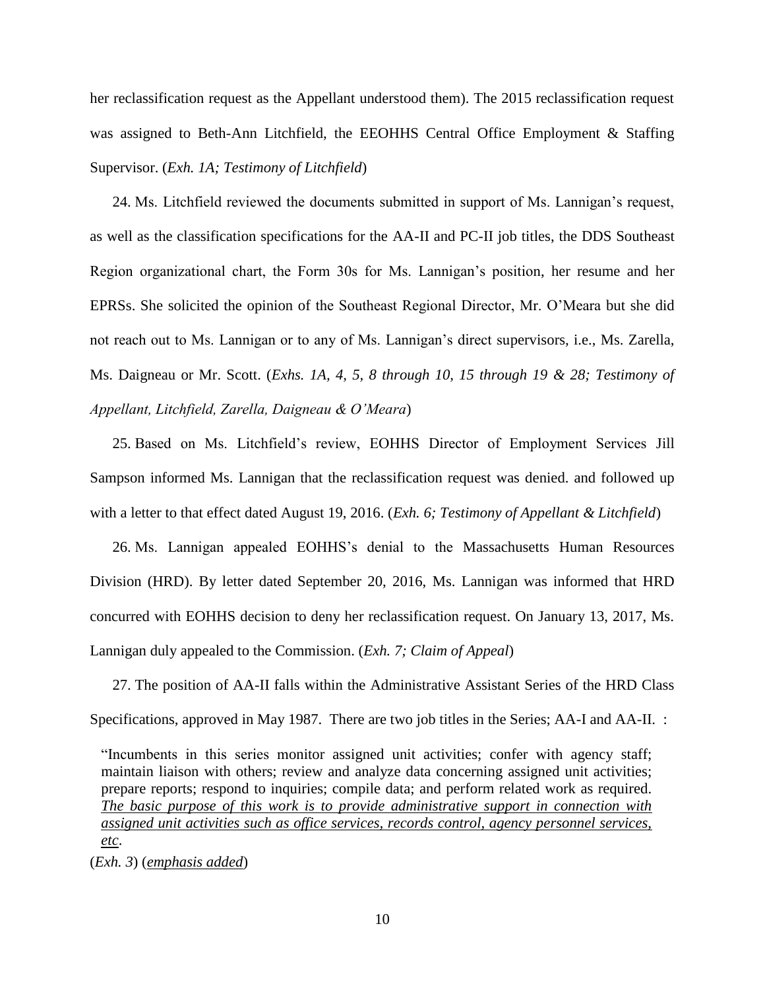her reclassification request as the Appellant understood them). The 2015 reclassification request was assigned to Beth-Ann Litchfield, the EEOHHS Central Office Employment & Staffing Supervisor. (*Exh. 1A; Testimony of Litchfield*)

24. Ms. Litchfield reviewed the documents submitted in support of Ms. Lannigan's request, as well as the classification specifications for the AA-II and PC-II job titles, the DDS Southeast Region organizational chart, the Form 30s for Ms. Lannigan's position, her resume and her EPRSs. She solicited the opinion of the Southeast Regional Director, Mr. O'Meara but she did not reach out to Ms. Lannigan or to any of Ms. Lannigan's direct supervisors, i.e., Ms. Zarella, Ms. Daigneau or Mr. Scott. (*Exhs. 1A, 4, 5, 8 through 10, 15 through 19 & 28; Testimony of Appellant, Litchfield, Zarella, Daigneau & O'Meara*)

25. Based on Ms. Litchfield's review, EOHHS Director of Employment Services Jill Sampson informed Ms. Lannigan that the reclassification request was denied. and followed up with a letter to that effect dated August 19, 2016. (*Exh. 6; Testimony of Appellant & Litchfield*)

26. Ms. Lannigan appealed EOHHS's denial to the Massachusetts Human Resources Division (HRD). By letter dated September 20, 2016, Ms. Lannigan was informed that HRD concurred with EOHHS decision to deny her reclassification request. On January 13, 2017, Ms. Lannigan duly appealed to the Commission. (*Exh. 7; Claim of Appeal*)

27. The position of AA-II falls within the Administrative Assistant Series of the HRD Class Specifications, approved in May 1987. There are two job titles in the Series; AA-I and AA-II. :

"Incumbents in this series monitor assigned unit activities; confer with agency staff; maintain liaison with others; review and analyze data concerning assigned unit activities; prepare reports; respond to inquiries; compile data; and perform related work as required. *The basic purpose of this work is to provide administrative support in connection with assigned unit activities such as office services, records control, agency personnel services, etc*.

(*Exh. 3*) (*emphasis added*)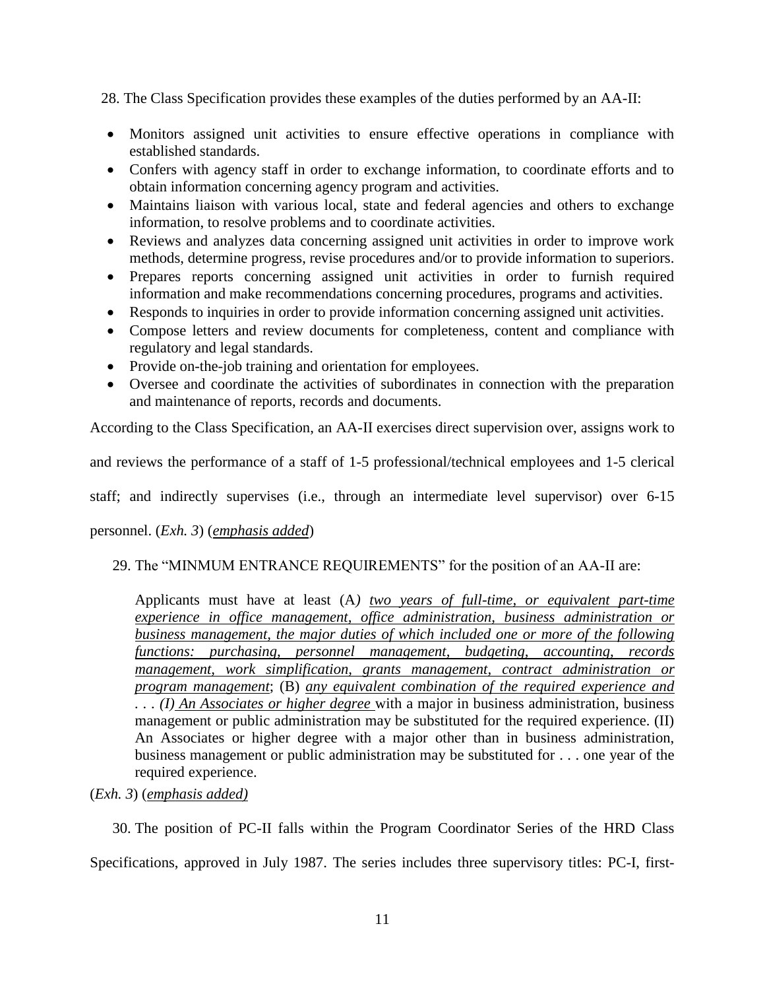28. The Class Specification provides these examples of the duties performed by an AA-II:

- Monitors assigned unit activities to ensure effective operations in compliance with established standards.
- Confers with agency staff in order to exchange information, to coordinate efforts and to obtain information concerning agency program and activities.
- Maintains liaison with various local, state and federal agencies and others to exchange information, to resolve problems and to coordinate activities.
- Reviews and analyzes data concerning assigned unit activities in order to improve work methods, determine progress, revise procedures and/or to provide information to superiors.
- Prepares reports concerning assigned unit activities in order to furnish required information and make recommendations concerning procedures, programs and activities.
- Responds to inquiries in order to provide information concerning assigned unit activities.
- Compose letters and review documents for completeness, content and compliance with regulatory and legal standards.
- Provide on-the-job training and orientation for employees.
- Oversee and coordinate the activities of subordinates in connection with the preparation and maintenance of reports, records and documents.

According to the Class Specification, an AA-II exercises direct supervision over, assigns work to

and reviews the performance of a staff of 1-5 professional/technical employees and 1-5 clerical

staff; and indirectly supervises (i.e., through an intermediate level supervisor) over 6-15

personnel. (*Exh. 3*) (*emphasis added*)

### 29. The "MINMUM ENTRANCE REQUIREMENTS" for the position of an AA-II are:

Applicants must have at least (A*) two years of full-time, or equivalent part-time experience in office management, office administration, business administration or business management, the major duties of which included one or more of the following functions: purchasing, personnel management, budgeting, accounting, records management, work simplification, grants management, contract administration or program management*; (B) *any equivalent combination of the required experience and . . . (I) An Associates or higher degree* with a major in business administration, business management or public administration may be substituted for the required experience. (II) An Associates or higher degree with a major other than in business administration, business management or public administration may be substituted for . . . one year of the required experience.

## (*Exh. 3*) (*emphasis added)*

30. The position of PC-II falls within the Program Coordinator Series of the HRD Class Specifications, approved in July 1987. The series includes three supervisory titles: PC-I, first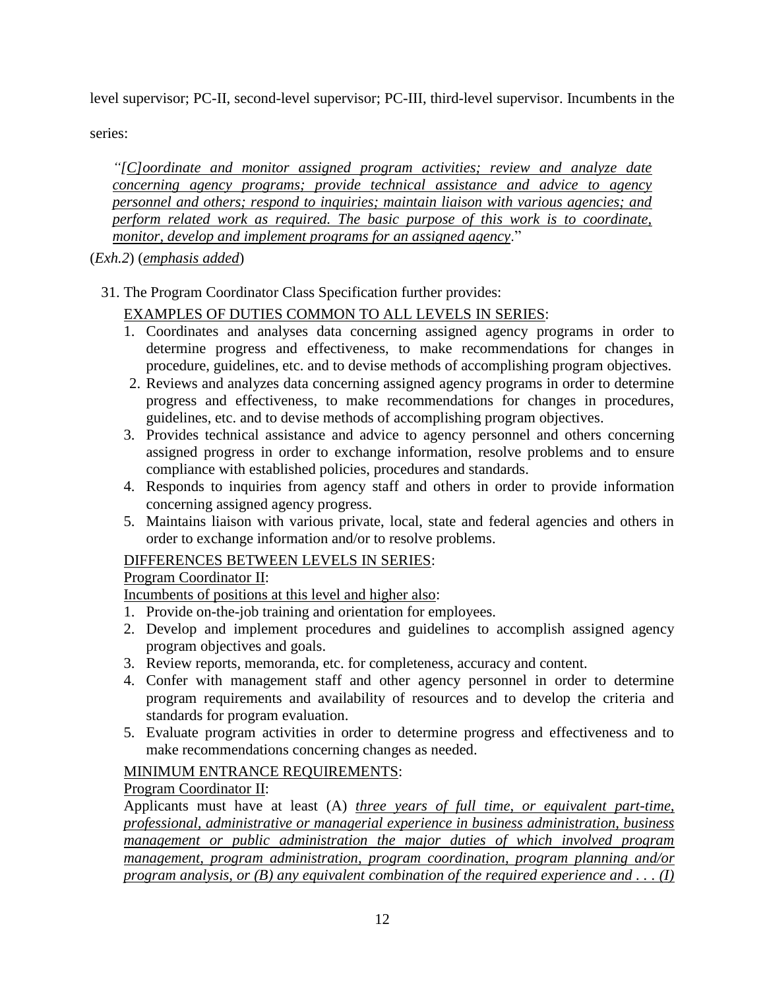level supervisor; PC-II, second-level supervisor; PC-III, third-level supervisor. Incumbents in the

series:

*"[C]oordinate and monitor assigned program activities; review and analyze date concerning agency programs; provide technical assistance and advice to agency personnel and others; respond to inquiries; maintain liaison with various agencies; and perform related work as required. The basic purpose of this work is to coordinate, monitor, develop and implement programs for an assigned agency*."

(*Exh.2*) (*emphasis added*)

## 31. The Program Coordinator Class Specification further provides:

# EXAMPLES OF DUTIES COMMON TO ALL LEVELS IN SERIES:

- 1. Coordinates and analyses data concerning assigned agency programs in order to determine progress and effectiveness, to make recommendations for changes in procedure, guidelines, etc. and to devise methods of accomplishing program objectives.
- 2. Reviews and analyzes data concerning assigned agency programs in order to determine progress and effectiveness, to make recommendations for changes in procedures, guidelines, etc. and to devise methods of accomplishing program objectives.
- 3. Provides technical assistance and advice to agency personnel and others concerning assigned progress in order to exchange information, resolve problems and to ensure compliance with established policies, procedures and standards.
- 4. Responds to inquiries from agency staff and others in order to provide information concerning assigned agency progress.
- 5. Maintains liaison with various private, local, state and federal agencies and others in order to exchange information and/or to resolve problems.

## DIFFERENCES BETWEEN LEVELS IN SERIES:

## Program Coordinator II:

Incumbents of positions at this level and higher also:

- 1. Provide on-the-job training and orientation for employees.
- 2. Develop and implement procedures and guidelines to accomplish assigned agency program objectives and goals.
- 3. Review reports, memoranda, etc. for completeness, accuracy and content.
- 4. Confer with management staff and other agency personnel in order to determine program requirements and availability of resources and to develop the criteria and standards for program evaluation.
- 5. Evaluate program activities in order to determine progress and effectiveness and to make recommendations concerning changes as needed.

## MINIMUM ENTRANCE REQUIREMENTS:

## Program Coordinator II:

Applicants must have at least (A) *three years of full time, or equivalent part-time, professional, administrative or managerial experience in business administration, business management or public administration the major duties of which involved program management, program administration, program coordination, program planning and/or program analysis, or (B) any equivalent combination of the required experience and . . . (I)*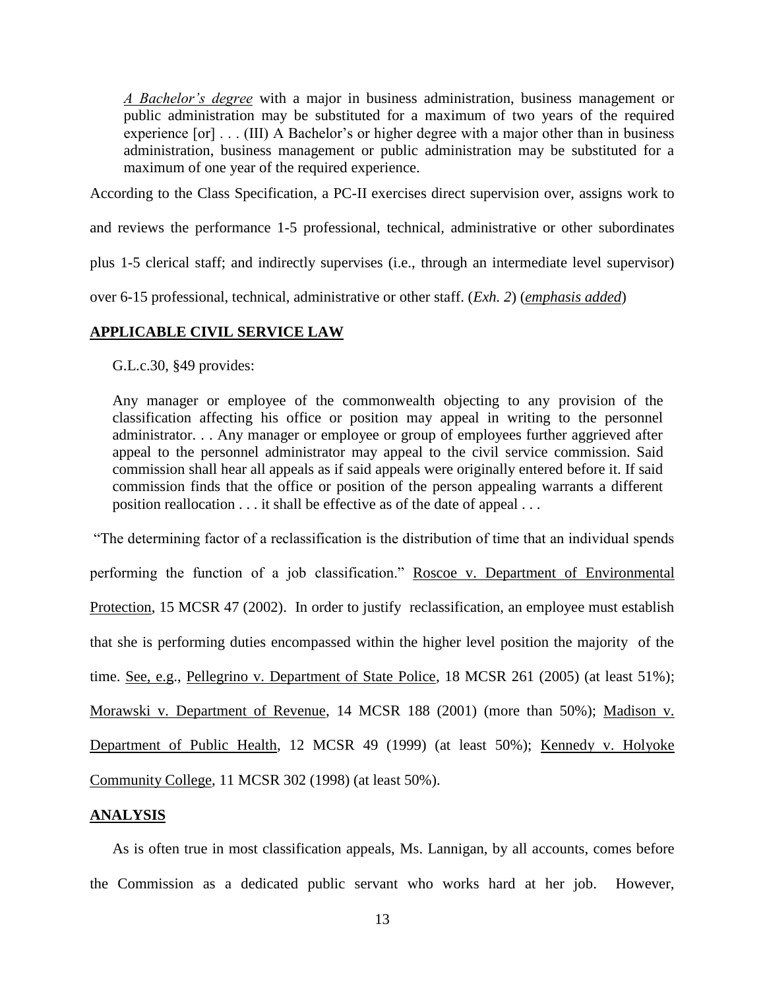*A Bachelor's degree* with a major in business administration, business management or public administration may be substituted for a maximum of two years of the required experience [or] . . . (III) A Bachelor's or higher degree with a major other than in business administration, business management or public administration may be substituted for a maximum of one year of the required experience.

According to the Class Specification, a PC-II exercises direct supervision over, assigns work to

and reviews the performance 1-5 professional, technical, administrative or other subordinates

plus 1-5 clerical staff; and indirectly supervises (i.e., through an intermediate level supervisor)

over 6-15 professional, technical, administrative or other staff. (*Exh. 2*) (*emphasis added*)

### **APPLICABLE CIVIL SERVICE LAW**

G.L.c.30, §49 provides:

Any manager or employee of the commonwealth objecting to any provision of the classification affecting his office or position may appeal in writing to the personnel administrator. . . Any manager or employee or group of employees further aggrieved after appeal to the personnel administrator may appeal to the civil service commission. Said commission shall hear all appeals as if said appeals were originally entered before it. If said commission finds that the office or position of the person appealing warrants a different position reallocation . . . it shall be effective as of the date of appeal . . .

"The determining factor of a reclassification is the distribution of time that an individual spends performing the function of a job classification." Roscoe v. Department of Environmental Protection, 15 MCSR 47 (2002). In order to justify reclassification, an employee must establish that she is performing duties encompassed within the higher level position the majority of the time. See, e.g., Pellegrino v. Department of State Police, 18 MCSR 261 (2005) (at least 51%); Morawski v. Department of Revenue, 14 MCSR 188 (2001) (more than 50%); Madison v. Department of Public Health, 12 MCSR 49 (1999) (at least 50%); Kennedy v. Holyoke Community College, 11 MCSR 302 (1998) (at least 50%).

#### **ANALYSIS**

As is often true in most classification appeals, Ms. Lannigan, by all accounts, comes before the Commission as a dedicated public servant who works hard at her job. However,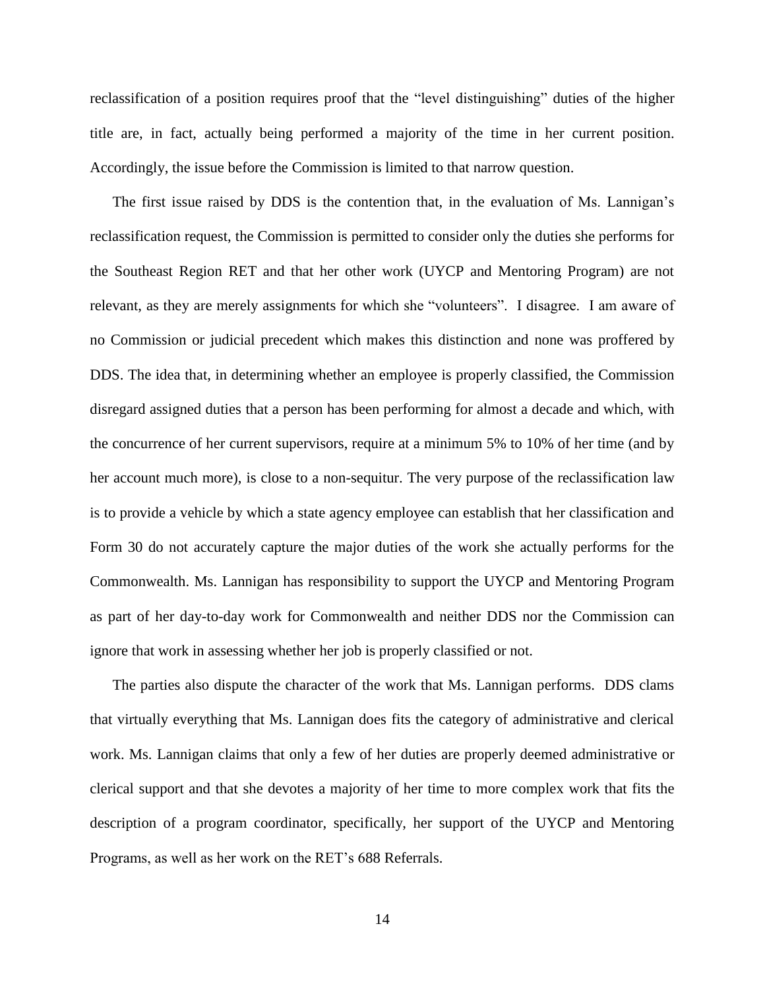reclassification of a position requires proof that the "level distinguishing" duties of the higher title are, in fact, actually being performed a majority of the time in her current position. Accordingly, the issue before the Commission is limited to that narrow question.

The first issue raised by DDS is the contention that, in the evaluation of Ms. Lannigan's reclassification request, the Commission is permitted to consider only the duties she performs for the Southeast Region RET and that her other work (UYCP and Mentoring Program) are not relevant, as they are merely assignments for which she "volunteers". I disagree. I am aware of no Commission or judicial precedent which makes this distinction and none was proffered by DDS. The idea that, in determining whether an employee is properly classified, the Commission disregard assigned duties that a person has been performing for almost a decade and which, with the concurrence of her current supervisors, require at a minimum 5% to 10% of her time (and by her account much more), is close to a non-sequitur. The very purpose of the reclassification law is to provide a vehicle by which a state agency employee can establish that her classification and Form 30 do not accurately capture the major duties of the work she actually performs for the Commonwealth. Ms. Lannigan has responsibility to support the UYCP and Mentoring Program as part of her day-to-day work for Commonwealth and neither DDS nor the Commission can ignore that work in assessing whether her job is properly classified or not.

The parties also dispute the character of the work that Ms. Lannigan performs. DDS clams that virtually everything that Ms. Lannigan does fits the category of administrative and clerical work. Ms. Lannigan claims that only a few of her duties are properly deemed administrative or clerical support and that she devotes a majority of her time to more complex work that fits the description of a program coordinator, specifically, her support of the UYCP and Mentoring Programs, as well as her work on the RET's 688 Referrals.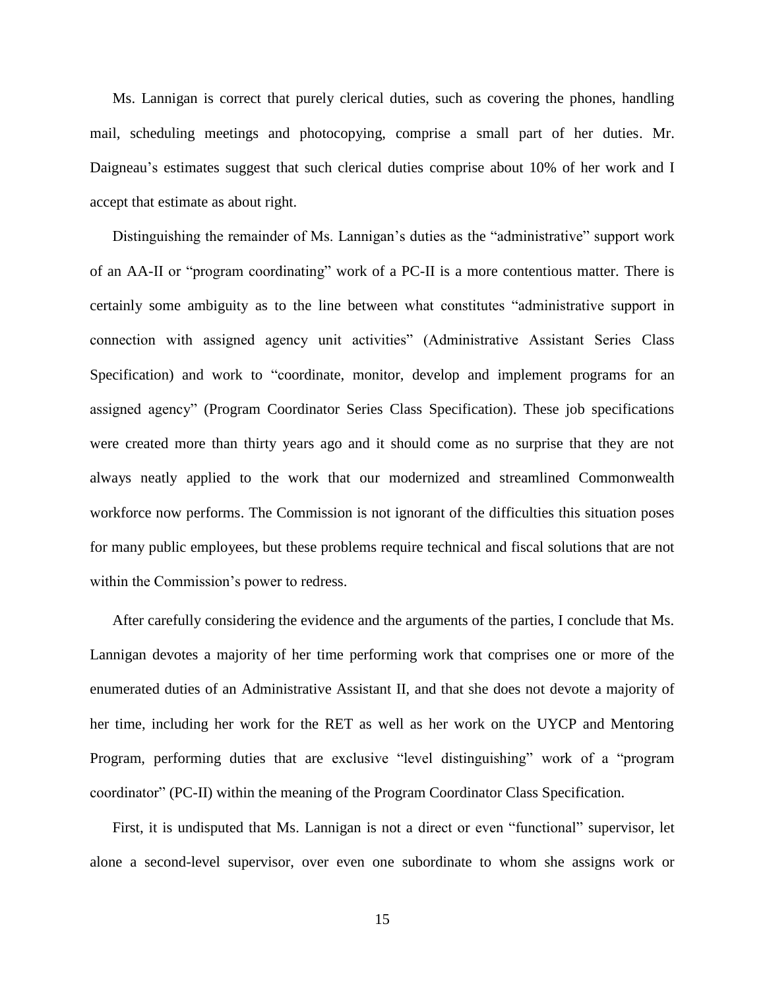Ms. Lannigan is correct that purely clerical duties, such as covering the phones, handling mail, scheduling meetings and photocopying, comprise a small part of her duties. Mr. Daigneau's estimates suggest that such clerical duties comprise about 10% of her work and I accept that estimate as about right.

Distinguishing the remainder of Ms. Lannigan's duties as the "administrative" support work of an AA-II or "program coordinating" work of a PC-II is a more contentious matter. There is certainly some ambiguity as to the line between what constitutes "administrative support in connection with assigned agency unit activities" (Administrative Assistant Series Class Specification) and work to "coordinate, monitor, develop and implement programs for an assigned agency" (Program Coordinator Series Class Specification). These job specifications were created more than thirty years ago and it should come as no surprise that they are not always neatly applied to the work that our modernized and streamlined Commonwealth workforce now performs. The Commission is not ignorant of the difficulties this situation poses for many public employees, but these problems require technical and fiscal solutions that are not within the Commission's power to redress.

After carefully considering the evidence and the arguments of the parties, I conclude that Ms. Lannigan devotes a majority of her time performing work that comprises one or more of the enumerated duties of an Administrative Assistant II, and that she does not devote a majority of her time, including her work for the RET as well as her work on the UYCP and Mentoring Program, performing duties that are exclusive "level distinguishing" work of a "program coordinator" (PC-II) within the meaning of the Program Coordinator Class Specification.

First, it is undisputed that Ms. Lannigan is not a direct or even "functional" supervisor, let alone a second-level supervisor, over even one subordinate to whom she assigns work or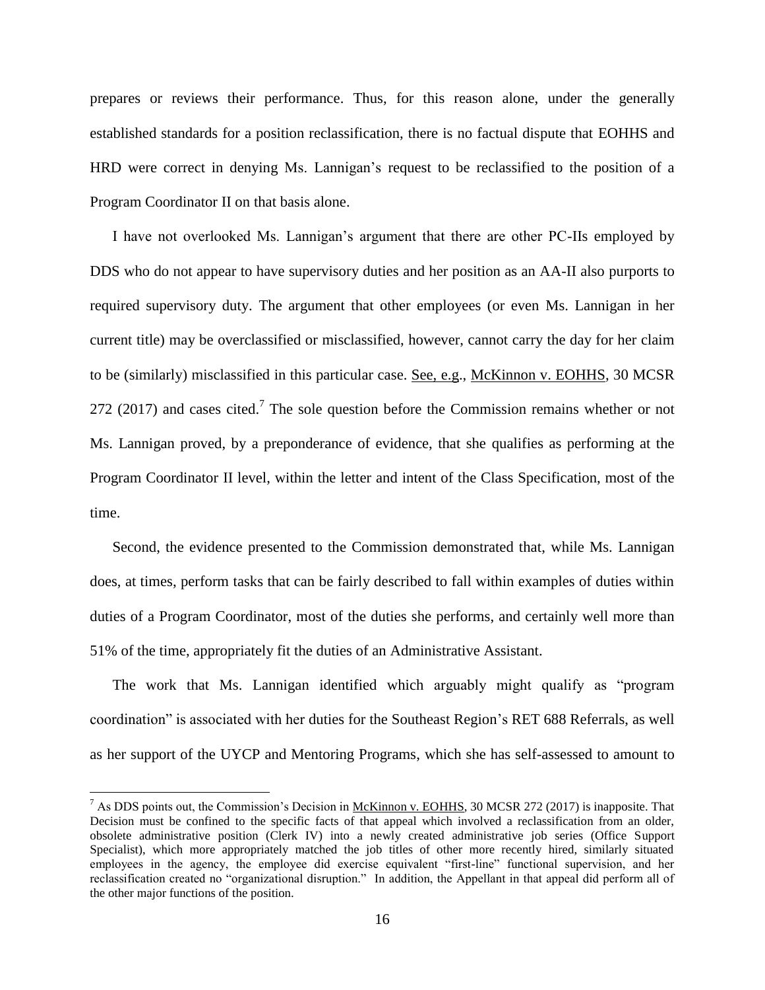prepares or reviews their performance. Thus, for this reason alone, under the generally established standards for a position reclassification, there is no factual dispute that EOHHS and HRD were correct in denying Ms. Lannigan's request to be reclassified to the position of a Program Coordinator II on that basis alone.

I have not overlooked Ms. Lannigan's argument that there are other PC-IIs employed by DDS who do not appear to have supervisory duties and her position as an AA-II also purports to required supervisory duty. The argument that other employees (or even Ms. Lannigan in her current title) may be overclassified or misclassified, however, cannot carry the day for her claim to be (similarly) misclassified in this particular case. See, e.g., McKinnon v. EOHHS, 30 MCSR 272 (2017) and cases cited.<sup>7</sup> The sole question before the Commission remains whether or not Ms. Lannigan proved, by a preponderance of evidence, that she qualifies as performing at the Program Coordinator II level, within the letter and intent of the Class Specification, most of the time.

Second, the evidence presented to the Commission demonstrated that, while Ms. Lannigan does, at times, perform tasks that can be fairly described to fall within examples of duties within duties of a Program Coordinator, most of the duties she performs, and certainly well more than 51% of the time, appropriately fit the duties of an Administrative Assistant.

The work that Ms. Lannigan identified which arguably might qualify as "program coordination" is associated with her duties for the Southeast Region's RET 688 Referrals, as well as her support of the UYCP and Mentoring Programs, which she has self-assessed to amount to

<sup>&</sup>lt;sup>7</sup> As DDS points out, the Commission's Decision in McKinnon v. EOHHS, 30 MCSR 272 (2017) is inapposite. That Decision must be confined to the specific facts of that appeal which involved a reclassification from an older, obsolete administrative position (Clerk IV) into a newly created administrative job series (Office Support Specialist), which more appropriately matched the job titles of other more recently hired, similarly situated employees in the agency, the employee did exercise equivalent "first-line" functional supervision, and her reclassification created no "organizational disruption." In addition, the Appellant in that appeal did perform all of the other major functions of the position.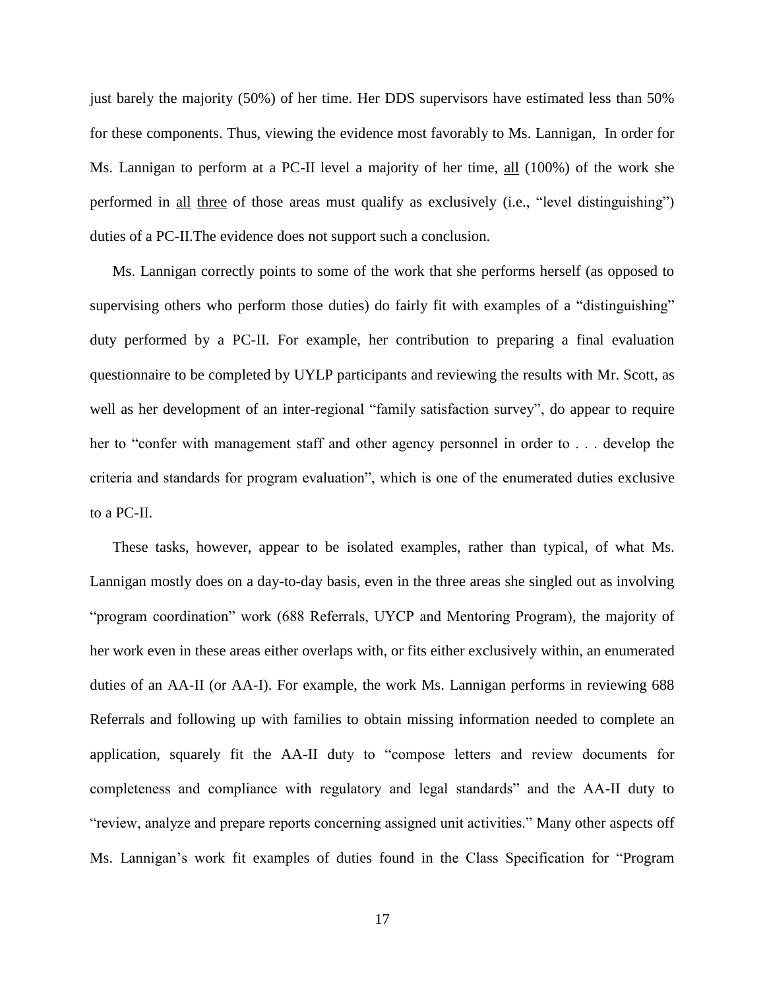just barely the majority (50%) of her time. Her DDS supervisors have estimated less than 50% for these components. Thus, viewing the evidence most favorably to Ms. Lannigan, In order for Ms. Lannigan to perform at a PC-II level a majority of her time, all (100%) of the work she performed in all three of those areas must qualify as exclusively (i.e., "level distinguishing") duties of a PC-II.The evidence does not support such a conclusion.

Ms. Lannigan correctly points to some of the work that she performs herself (as opposed to supervising others who perform those duties) do fairly fit with examples of a "distinguishing" duty performed by a PC-II. For example, her contribution to preparing a final evaluation questionnaire to be completed by UYLP participants and reviewing the results with Mr. Scott, as well as her development of an inter-regional "family satisfaction survey", do appear to require her to "confer with management staff and other agency personnel in order to . . . develop the criteria and standards for program evaluation", which is one of the enumerated duties exclusive to a PC-II.

These tasks, however, appear to be isolated examples, rather than typical, of what Ms. Lannigan mostly does on a day-to-day basis, even in the three areas she singled out as involving "program coordination" work (688 Referrals, UYCP and Mentoring Program), the majority of her work even in these areas either overlaps with, or fits either exclusively within, an enumerated duties of an AA-II (or AA-I). For example, the work Ms. Lannigan performs in reviewing 688 Referrals and following up with families to obtain missing information needed to complete an application, squarely fit the AA-II duty to "compose letters and review documents for completeness and compliance with regulatory and legal standards" and the AA-II duty to "review, analyze and prepare reports concerning assigned unit activities." Many other aspects off Ms. Lannigan's work fit examples of duties found in the Class Specification for "Program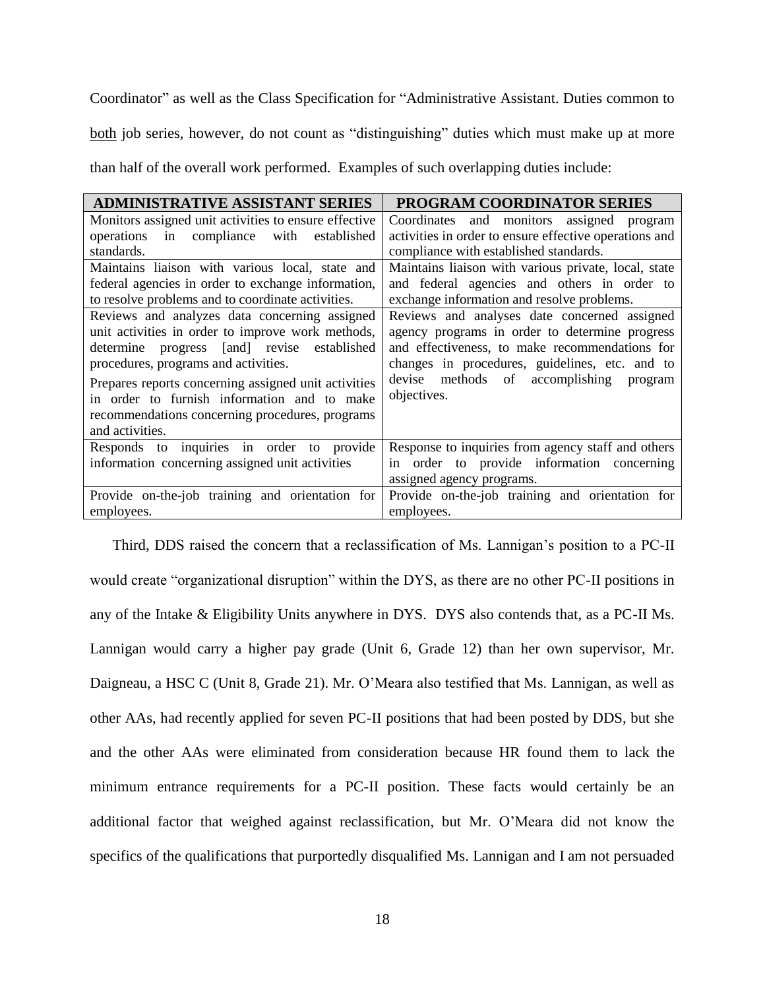Coordinator" as well as the Class Specification for "Administrative Assistant. Duties common to

both job series, however, do not count as "distinguishing" duties which must make up at more

than half of the overall work performed. Examples of such overlapping duties include:

| <b>ADMINISTRATIVE ASSISTANT SERIES</b>                | PROGRAM COORDINATOR SERIES                             |
|-------------------------------------------------------|--------------------------------------------------------|
| Monitors assigned unit activities to ensure effective | Coordinates and monitors assigned<br>program           |
| operations in compliance<br>with<br>established       | activities in order to ensure effective operations and |
| standards.                                            | compliance with established standards.                 |
| Maintains liaison with various local, state and       | Maintains liaison with various private, local, state   |
| federal agencies in order to exchange information,    | and federal agencies and others in order to            |
| to resolve problems and to coordinate activities.     | exchange information and resolve problems.             |
| Reviews and analyzes data concerning assigned         | Reviews and analyses date concerned assigned           |
| unit activities in order to improve work methods,     | agency programs in order to determine progress         |
| determine progress [and] revise established           | and effectiveness, to make recommendations for         |
| procedures, programs and activities.                  | changes in procedures, guidelines, etc. and to         |
| Prepares reports concerning assigned unit activities  | devise methods of accomplishing program                |
| in order to furnish information and to make           | objectives.                                            |
| recommendations concerning procedures, programs       |                                                        |
| and activities.                                       |                                                        |
| Responds to inquiries in order to provide             | Response to inquiries from agency staff and others     |
| information concerning assigned unit activities       | in order to provide information concerning             |
|                                                       | assigned agency programs.                              |
| Provide on-the-job training and orientation for       | Provide on-the-job training and orientation for        |
| employees.                                            | employees.                                             |

Third, DDS raised the concern that a reclassification of Ms. Lannigan's position to a PC-II would create "organizational disruption" within the DYS, as there are no other PC-II positions in any of the Intake & Eligibility Units anywhere in DYS. DYS also contends that, as a PC-II Ms. Lannigan would carry a higher pay grade (Unit 6, Grade 12) than her own supervisor, Mr. Daigneau, a HSC C (Unit 8, Grade 21). Mr. O'Meara also testified that Ms. Lannigan, as well as other AAs, had recently applied for seven PC-II positions that had been posted by DDS, but she and the other AAs were eliminated from consideration because HR found them to lack the minimum entrance requirements for a PC-II position. These facts would certainly be an additional factor that weighed against reclassification, but Mr. O'Meara did not know the specifics of the qualifications that purportedly disqualified Ms. Lannigan and I am not persuaded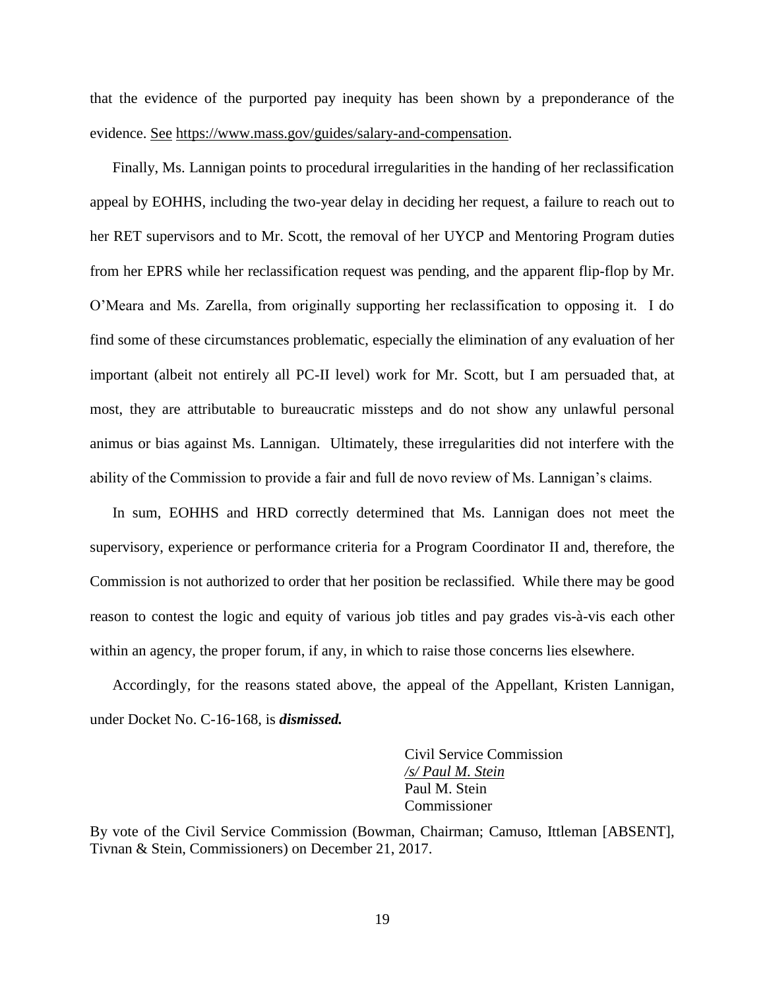that the evidence of the purported pay inequity has been shown by a preponderance of the evidence. See [https://www.mass.gov/guides/salary-and-compensation.](https://www.mass.gov/guides/salary-and-compensation)

Finally, Ms. Lannigan points to procedural irregularities in the handing of her reclassification appeal by EOHHS, including the two-year delay in deciding her request, a failure to reach out to her RET supervisors and to Mr. Scott, the removal of her UYCP and Mentoring Program duties from her EPRS while her reclassification request was pending, and the apparent flip-flop by Mr. O'Meara and Ms. Zarella, from originally supporting her reclassification to opposing it. I do find some of these circumstances problematic, especially the elimination of any evaluation of her important (albeit not entirely all PC-II level) work for Mr. Scott, but I am persuaded that, at most, they are attributable to bureaucratic missteps and do not show any unlawful personal animus or bias against Ms. Lannigan. Ultimately, these irregularities did not interfere with the ability of the Commission to provide a fair and full de novo review of Ms. Lannigan's claims.

In sum, EOHHS and HRD correctly determined that Ms. Lannigan does not meet the supervisory, experience or performance criteria for a Program Coordinator II and, therefore, the Commission is not authorized to order that her position be reclassified. While there may be good reason to contest the logic and equity of various job titles and pay grades vis-à-vis each other within an agency, the proper forum, if any, in which to raise those concerns lies elsewhere.

Accordingly, for the reasons stated above, the appeal of the Appellant, Kristen Lannigan, under Docket No. C-16-168, is *dismissed.*

> Civil Service Commission */s/ Paul M. Stein* Paul M. Stein Commissioner

By vote of the Civil Service Commission (Bowman, Chairman; Camuso, Ittleman [ABSENT], Tivnan & Stein, Commissioners) on December 21, 2017.